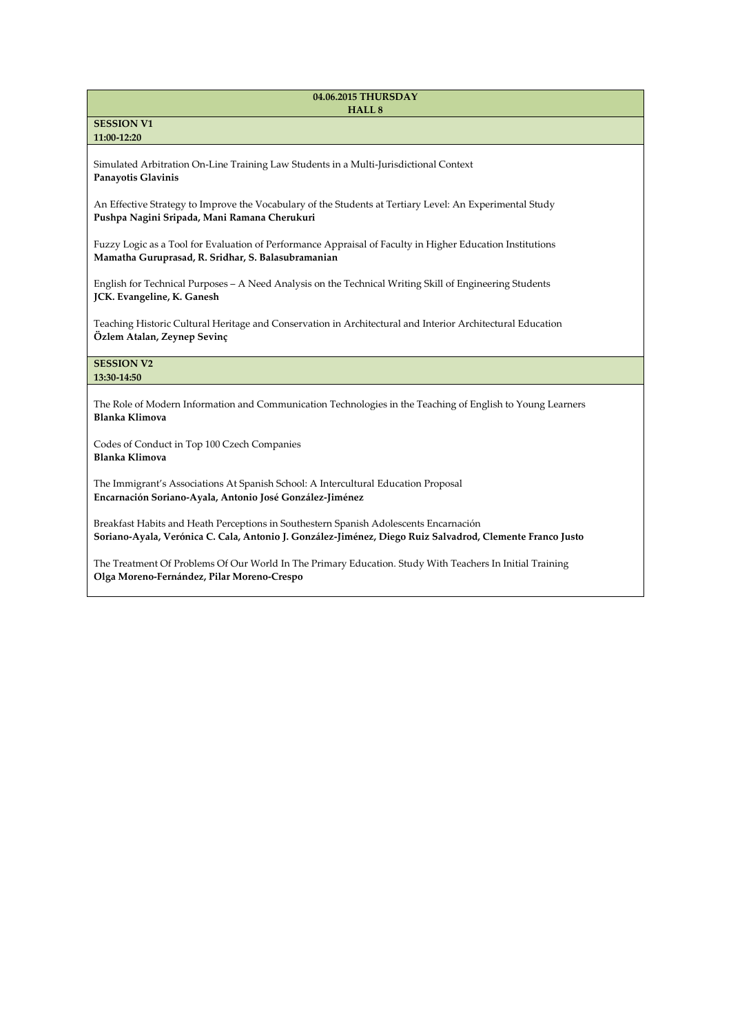#### **04.06.2015 THURSDAY HALL 8**

## **SESSION V1 11:00-12:20**

Simulated Arbitration On-Line Training Law Students in a Multi-Jurisdictional Context **Panayotis Glavinis**

An Effective Strategy to Improve the Vocabulary of the Students at Tertiary Level: An Experimental Study **Pushpa Nagini Sripada, Mani Ramana Cherukuri**

Fuzzy Logic as a Tool for Evaluation of Performance Appraisal of Faculty in Higher Education Institutions **Mamatha Guruprasad, R. Sridhar, S. Balasubramanian**

English for Technical Purposes – A Need Analysis on the Technical Writing Skill of Engineering Students **JCK. Evangeline, K. Ganesh**

Teaching Historic Cultural Heritage and Conservation in Architectural and Interior Architectural Education **Özlem Atalan, Zeynep Sevinç**

#### **SESSION V2 13:30-14:50**

The Role of Modern Information and Communication Technologies in the Teaching of English to Young Learners **Blanka Klimova**

Codes of Conduct in Top 100 Czech Companies **Blanka Klimova**

The Immigrant's Associations At Spanish School: A Intercultural Education Proposal **Encarnación Soriano-Ayala, Antonio José González-Jiménez**

Breakfast Habits and Heath Perceptions in Southestern Spanish Adolescents Encarnación **Soriano-Ayala, Verónica C. Cala, Antonio J. González-Jiménez, Diego Ruiz Salvadrod, Clemente Franco Justo**

The Treatment Of Problems Of Our World In The Primary Education. Study With Teachers In Initial Training **Olga Moreno-Fernández, Pilar Moreno-Crespo**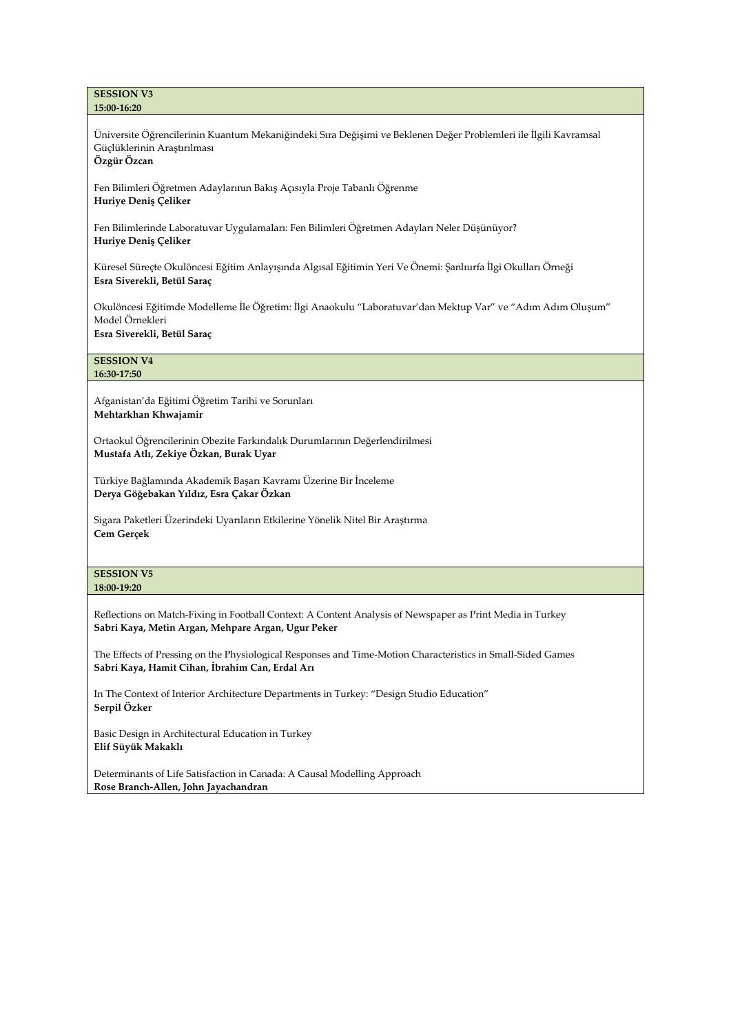#### **SESSION V3 15:00-16:20**

Üniversite Öğrencilerinin Kuantum Mekaniğindeki Sıra Değişimi ve Beklenen Değer Problemleri ile İlgili Kavramsal Güçlüklerinin Araştırılması

**Özgür Özcan**

Fen Bilimleri Öğretmen Adaylarının Bakış Açısıyla Proje Tabanlı Öğrenme **Huriye Deniş Çeliker**

Fen Bilimlerinde Laboratuvar Uygulamaları: Fen Bilimleri Öğretmen Adayları Neler Düşünüyor? **Huriye Deniş Çeliker**

Küresel Süreçte Okulöncesi Eğitim Anlayışında Algısal Eğitimin Yeri Ve Önemi: Şanlıurfa İlgi Okulları Örneği **Esra Siverekli, Betül Saraç**

Okulöncesi Eğitimde Modelleme İle Öğretim: İlgi Anaokulu "Laboratuvar'dan Mektup Var" ve "Adım Adım Oluşum" Model Örnekleri **Esra Siverekli, Betül Saraç**

# **SESSION V4**

**16:30-17:50**

Afganistan'da Eğitimi Öğretim Tarihi ve Sorunları **Mehtarkhan Khwajamir**

Ortaokul Öğrencilerinin Obezite Farkındalık Durumlarının Değerlendirilmesi **Mustafa Atlı, Zekiye Özkan, Burak Uyar**

Türkiye Bağlamında Akademik Başarı Kavramı Üzerine Bir İnceleme **Derya Göğebakan Yıldız, Esra Çakar Özkan**

Sigara Paketleri Üzerindeki Uyarıların Etkilerine Yönelik Nitel Bir Araştırma **Cem Gerçek**

### **SESSION V5 18:00-19:20**

Reflections on Match-Fixing in Football Context: A Content Analysis of Newspaper as Print Media in Turkey **Sabri Kaya, Metin Argan, Mehpare Argan, Ugur Peker**

The Effects of Pressing on the Physiological Responses and Time-Motion Characteristics in Small-Sided Games **Sabri Kaya, Hamit Cihan, İbrahim Can, Erdal Arı**

In The Context of Interior Architecture Departments in Turkey: "Design Studio Education" **Serpil Özker**

Basic Design in Architectural Education in Turkey **Elif Süyük Makaklı**

Determinants of Life Satisfaction in Canada: A Causal Modelling Approach **Rose Branch-Allen, John Jayachandran**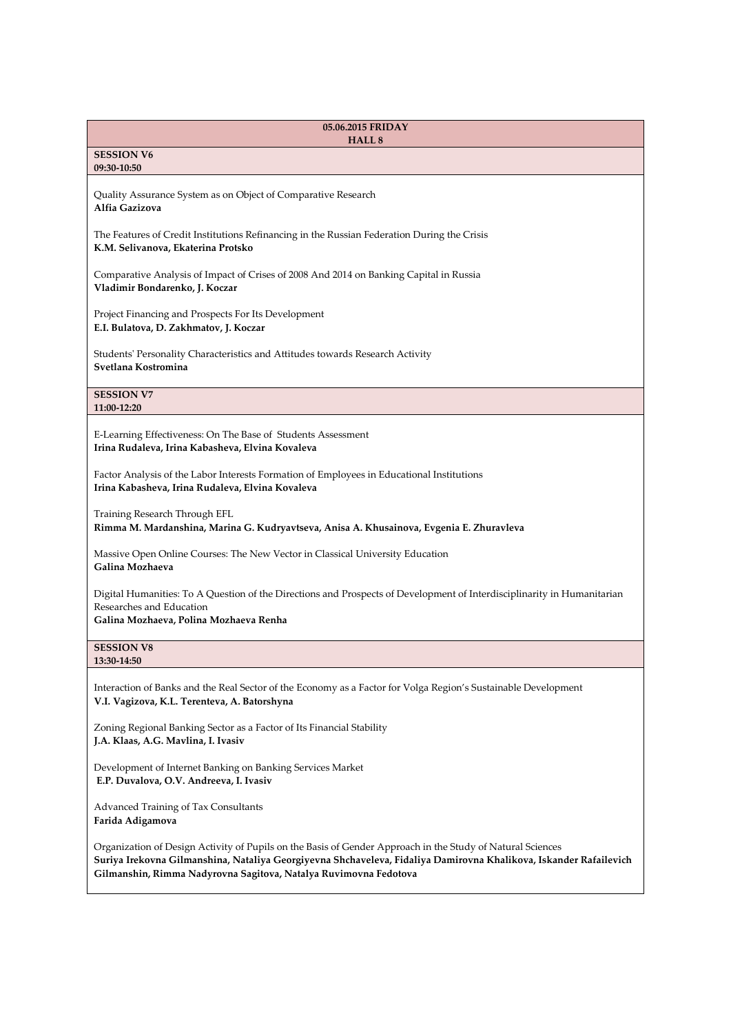| 05.06.2015 FRIDAY<br>HALL <sub>8</sub>                                                                                                                                                                                                                                                              |
|-----------------------------------------------------------------------------------------------------------------------------------------------------------------------------------------------------------------------------------------------------------------------------------------------------|
| <b>SESSION V6</b><br>09:30-10:50                                                                                                                                                                                                                                                                    |
| Quality Assurance System as on Object of Comparative Research<br>Alfia Gazizova                                                                                                                                                                                                                     |
| The Features of Credit Institutions Refinancing in the Russian Federation During the Crisis<br>K.M. Selivanova, Ekaterina Protsko                                                                                                                                                                   |
| Comparative Analysis of Impact of Crises of 2008 And 2014 on Banking Capital in Russia<br>Vladimir Bondarenko, J. Koczar                                                                                                                                                                            |
| Project Financing and Prospects For Its Development<br>E.I. Bulatova, D. Zakhmatov, J. Koczar                                                                                                                                                                                                       |
| Students' Personality Characteristics and Attitudes towards Research Activity<br>Svetlana Kostromina                                                                                                                                                                                                |
| <b>SESSION V7</b><br>11:00-12:20                                                                                                                                                                                                                                                                    |
| E-Learning Effectiveness: On The Base of Students Assessment<br>Irina Rudaleva, Irina Kabasheva, Elvina Kovaleva                                                                                                                                                                                    |
| Factor Analysis of the Labor Interests Formation of Employees in Educational Institutions<br>Irina Kabasheva, Irina Rudaleva, Elvina Kovaleva                                                                                                                                                       |
| Training Research Through EFL<br>Rimma M. Mardanshina, Marina G. Kudryavtseva, Anisa A. Khusainova, Evgenia E. Zhuravleva                                                                                                                                                                           |
| Massive Open Online Courses: The New Vector in Classical University Education<br>Galina Mozhaeva                                                                                                                                                                                                    |
| Digital Humanities: To A Question of the Directions and Prospects of Development of Interdisciplinarity in Humanitarian<br>Researches and Education<br>Galina Mozhaeva, Polina Mozhaeva Renha                                                                                                       |
| <b>SESSION V8</b><br>13:30-14:50                                                                                                                                                                                                                                                                    |
| Interaction of Banks and the Real Sector of the Economy as a Factor for Volga Region's Sustainable Development<br>V.I. Vagizova, K.L. Terenteva, A. Batorshyna                                                                                                                                      |
| Zoning Regional Banking Sector as a Factor of Its Financial Stability<br>J.A. Klaas, A.G. Mavlina, I. Ivasiv                                                                                                                                                                                        |
| Development of Internet Banking on Banking Services Market<br>E.P. Duvalova, O.V. Andreeva, I. Ivasiv                                                                                                                                                                                               |
| Advanced Training of Tax Consultants<br>Farida Adigamova                                                                                                                                                                                                                                            |
| Organization of Design Activity of Pupils on the Basis of Gender Approach in the Study of Natural Sciences<br>Suriya Irekovna Gilmanshina, Nataliya Georgiyevna Shchaveleva, Fidaliya Damirovna Khalikova, Iskander Rafailevich<br>Gilmanshin, Rimma Nadyrovna Sagitova, Natalya Ruvimovna Fedotova |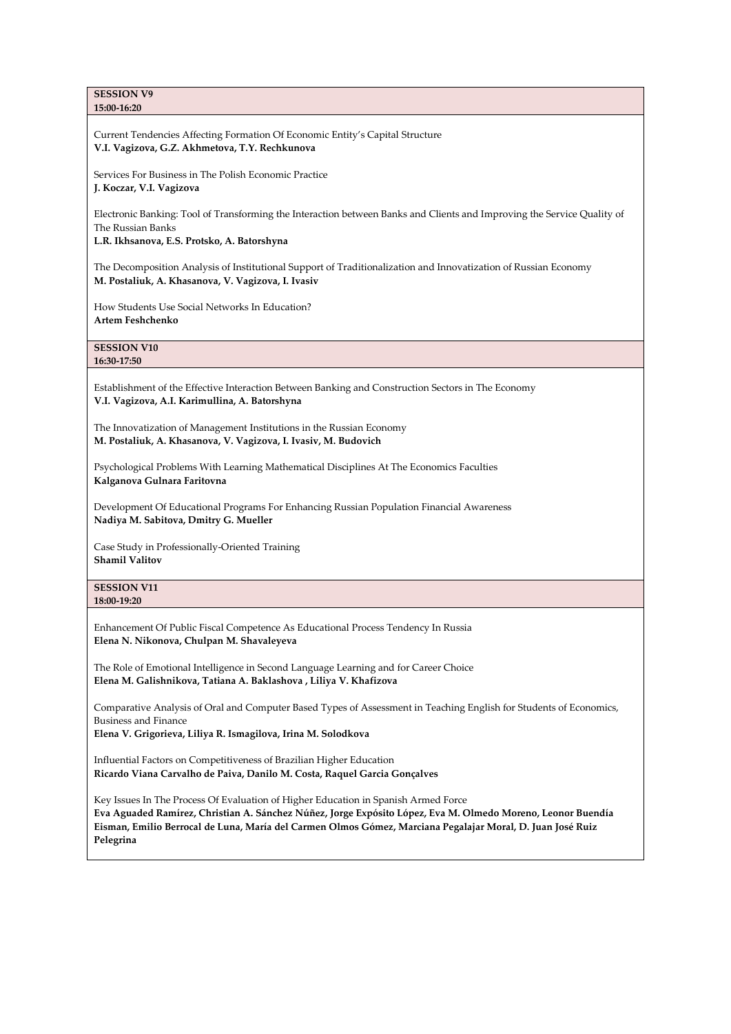**SESSION V9 15:00-16:20**

Current Tendencies Affecting Formation Of Economic Entity's Capital Structure **V.I. Vagizova, G.Z. Akhmetova, T.Y. Rechkunova**

Services For Business in The Polish Economic Practice **J. Koczar, V.I. Vagizova**

Electronic Banking: Tool of Transforming the Interaction between Banks and Clients and Improving the Service Quality of The Russian Banks

**L.R. Ikhsanova, E.S. Protsko, A. Batorshyna**

The Decomposition Analysis of Institutional Support of Traditionalization and Innovatization of Russian Economy **M. Postaliuk, A. Khasanova, V. Vagizova, I. Ivasiv**

How Students Use Social Networks In Education? **Artem Feshchenko**

**SESSION V10 16:30-17:50**

Establishment of the Effective Interaction Between Banking and Construction Sectors in The Economy **V.I. Vagizova, A.I. Karimullina, A. Batorshyna**

The Innovatization of Management Institutions in the Russian Economy **M. Postaliuk, A. Khasanova, V. Vagizova, I. Ivasiv, M. Budovich**

Psychological Problems With Learning Mathematical Disciplines At The Economics Faculties **Kalganova Gulnara Faritovna**

Development Of Educational Programs For Enhancing Russian Population Financial Awareness **Nadiya M. Sabitova, Dmitry G. Mueller**

Case Study in Professionally-Oriented Training **Shamil Valitov**

**SESSION V11 18:00-19:20**

Enhancement Of Public Fiscal Competence As Educational Process Tendency In Russia **Elena N. Nikonova, Chulpan M. Shavaleyeva**

The Role of Emotional Intelligence in Second Language Learning and for Career Choice **Elena M. Galishnikova, Tatiana A. Baklashova , Liliya V. Khafizova**

Comparative Analysis of Oral and Computer Based Types of Assessment in Teaching English for Students of Economics, Business and Finance

**Elena V. Grigorieva, Liliya R. Ismagilova, Irina M. Solodkova**

Influential Factors on Competitiveness of Brazilian Higher Education **Ricardo Viana Carvalho de Paiva, Danilo M. Costa, Raquel Garcia Gonçalves**

Key Issues In The Process Of Evaluation of Higher Education in Spanish Armed Force **Eva Aguaded Ramírez, Christian A. Sánchez Núñez, Jorge Expósito López, Eva M. Olmedo Moreno, Leonor Buendía Eisman, Emilio Berrocal de Luna, María del Carmen Olmos Gómez, Marciana Pegalajar Moral, D. Juan José Ruiz Pelegrina**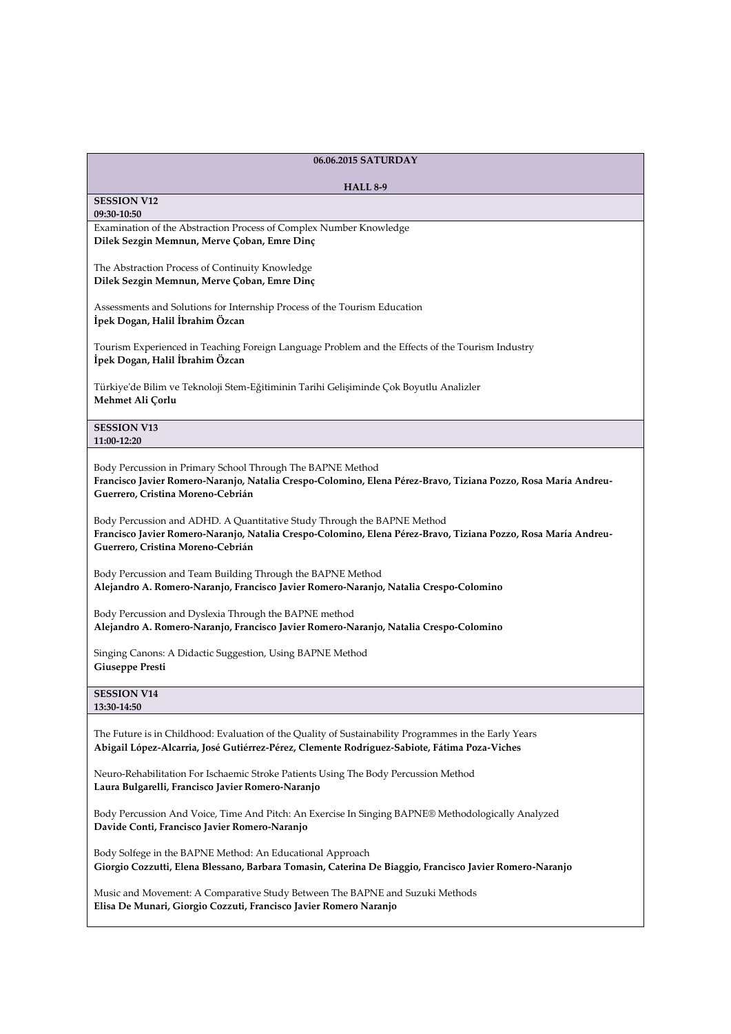| 06.06.2015 SATURDAY                                                                                                                                                                                                            |
|--------------------------------------------------------------------------------------------------------------------------------------------------------------------------------------------------------------------------------|
| <b>HALL 8-9</b>                                                                                                                                                                                                                |
| <b>SESSION V12</b><br>09:30-10:50                                                                                                                                                                                              |
| Examination of the Abstraction Process of Complex Number Knowledge<br>Dilek Sezgin Memnun, Merve Çoban, Emre Dinç                                                                                                              |
| The Abstraction Process of Continuity Knowledge<br>Dilek Sezgin Memnun, Merve Çoban, Emre Dinç                                                                                                                                 |
| Assessments and Solutions for Internship Process of the Tourism Education<br>İpek Dogan, Halil İbrahim Özcan                                                                                                                   |
| Tourism Experienced in Teaching Foreign Language Problem and the Effects of the Tourism Industry<br>İpek Dogan, Halil İbrahim Özcan                                                                                            |
| Türkiye'de Bilim ve Teknoloji Stem-Eğitiminin Tarihi Gelişiminde Çok Boyutlu Analizler<br>Mehmet Ali Çorlu                                                                                                                     |
| <b>SESSION V13</b><br>11:00-12:20                                                                                                                                                                                              |
| Body Percussion in Primary School Through The BAPNE Method<br>Francisco Javier Romero-Naranjo, Natalia Crespo-Colomino, Elena Pérez-Bravo, Tiziana Pozzo, Rosa María Andreu-<br>Guerrero, Cristina Moreno-Cebrián              |
| Body Percussion and ADHD. A Quantitative Study Through the BAPNE Method<br>Francisco Javier Romero-Naranjo, Natalia Crespo-Colomino, Elena Pérez-Bravo, Tiziana Pozzo, Rosa María Andreu-<br>Guerrero, Cristina Moreno-Cebrián |
| Body Percussion and Team Building Through the BAPNE Method<br>Alejandro A. Romero-Naranjo, Francisco Javier Romero-Naranjo, Natalia Crespo-Colomino                                                                            |
| Body Percussion and Dyslexia Through the BAPNE method<br>Alejandro A. Romero-Naranjo, Francisco Javier Romero-Naranjo, Natalia Crespo-Colomino                                                                                 |
| Singing Canons: A Didactic Suggestion, Using BAPNE Method<br>Giuseppe Presti                                                                                                                                                   |
| <b>SESSION V14</b><br>13:30-14:50                                                                                                                                                                                              |
| The Future is in Childhood: Evaluation of the Quality of Sustainability Programmes in the Early Years<br>Abigail López-Alcarria, José Gutiérrez-Pérez, Clemente Rodríguez-Sabiote, Fátima Poza-Viches                          |
| Neuro-Rehabilitation For Ischaemic Stroke Patients Using The Body Percussion Method<br>Laura Bulgarelli, Francisco Javier Romero-Naranjo                                                                                       |
| Body Percussion And Voice, Time And Pitch: An Exercise In Singing BAPNE® Methodologically Analyzed<br>Davide Conti, Francisco Javier Romero-Naranjo                                                                            |
| Body Solfege in the BAPNE Method: An Educational Approach<br>Giorgio Cozzutti, Elena Blessano, Barbara Tomasin, Caterina De Biaggio, Francisco Javier Romero-Naranjo                                                           |

Music and Movement: A Comparative Study Between The BAPNE and Suzuki Methods **Elisa De Munari, Giorgio Cozzuti, Francisco Javier Romero Naranjo**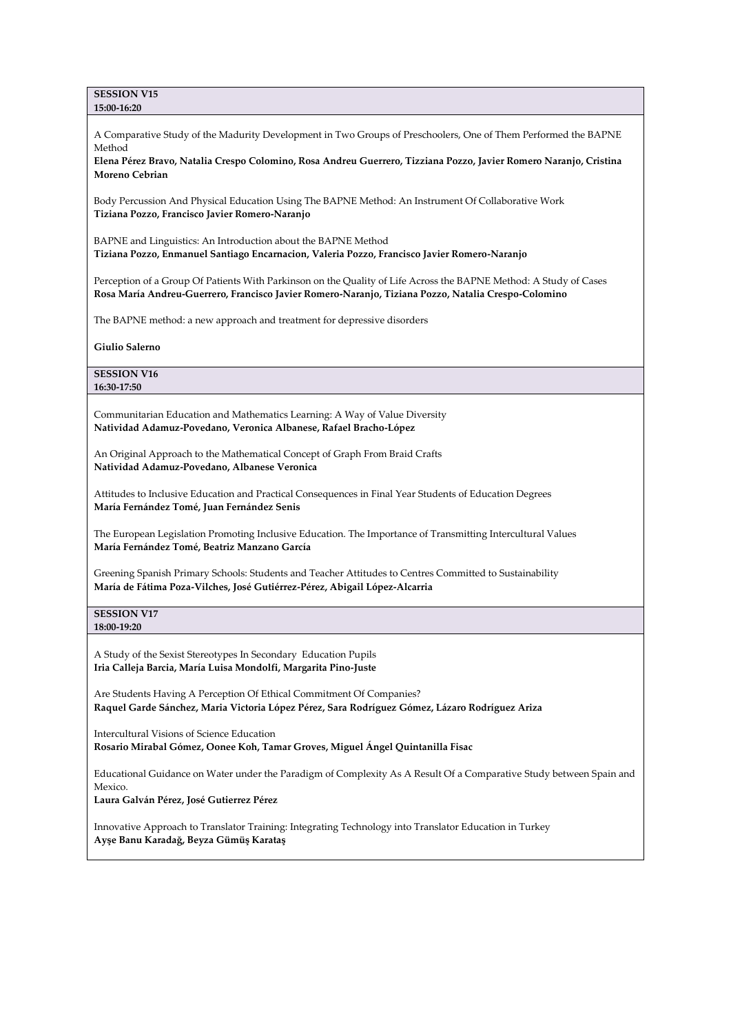**SESSION V15 15:00-16:20**

A Comparative Study of the Madurity Development in Two Groups of Preschoolers, One of Them Performed the BAPNE Method

**Elena Pérez Bravo, Natalia Crespo Colomino, Rosa Andreu Guerrero, Tizziana Pozzo, Javier Romero Naranjo, Cristina Moreno Cebrian**

Body Percussion And Physical Education Using The BAPNE Method: An Instrument Of Collaborative Work **Tiziana Pozzo, Francisco Javier Romero-Naranjo**

BAPNE and Linguistics: An Introduction about the BAPNE Method **Tiziana Pozzo, Enmanuel Santiago Encarnacion, Valeria Pozzo, Francisco Javier Romero-Naranjo**

Perception of a Group Of Patients With Parkinson on the Quality of Life Across the BAPNE Method: A Study of Cases **Rosa María Andreu-Guerrero, Francisco Javier Romero-Naranjo, Tiziana Pozzo, Natalia Crespo-Colomino**

The BAPNE method: a new approach and treatment for depressive disorders

**Giulio Salerno**

**SESSION V16 16:30-17:50**

Communitarian Education and Mathematics Learning: A Way of Value Diversity **Natividad Adamuz-Povedano, Veronica Albanese, Rafael Bracho-López**

An Original Approach to the Mathematical Concept of Graph From Braid Crafts **Natividad Adamuz-Povedano, Albanese Veronica**

Attitudes to Inclusive Education and Practical Consequences in Final Year Students of Education Degrees **María Fernández Tomé, Juan Fernández Senis**

The European Legislation Promoting Inclusive Education. The Importance of Transmitting Intercultural Values **María Fernández Tomé, Beatriz Manzano García**

Greening Spanish Primary Schools: Students and Teacher Attitudes to Centres Committed to Sustainability **María de Fátima Poza-Vilches, José Gutiérrez-Pérez, Abigail López-Alcarria**

**SESSION V17 18:00-19:20**

A Study of the Sexist Stereotypes In Secondary Education Pupils **Iria Calleja Barcia, María Luisa Mondolfi, Margarita Pino-Juste**

Are Students Having A Perception Of Ethical Commitment Of Companies? **Raquel Garde Sánchez, Maria Victoria López Pérez, Sara Rodríguez Gómez, Lázaro Rodríguez Ariza**

Intercultural Visions of Science Education **Rosario Mirabal Gómez, Oonee Koh, Tamar Groves, Miguel Ángel Quintanilla Fisac**

Educational Guidance on Water under the Paradigm of Complexity As A Result Of a Comparative Study between Spain and Mexico.

**Laura Galván Pérez, José Gutierrez Pérez**

Innovative Approach to Translator Training: Integrating Technology into Translator Education in Turkey **Ayşe Banu Karadağ, Beyza Gümüş Karataş**